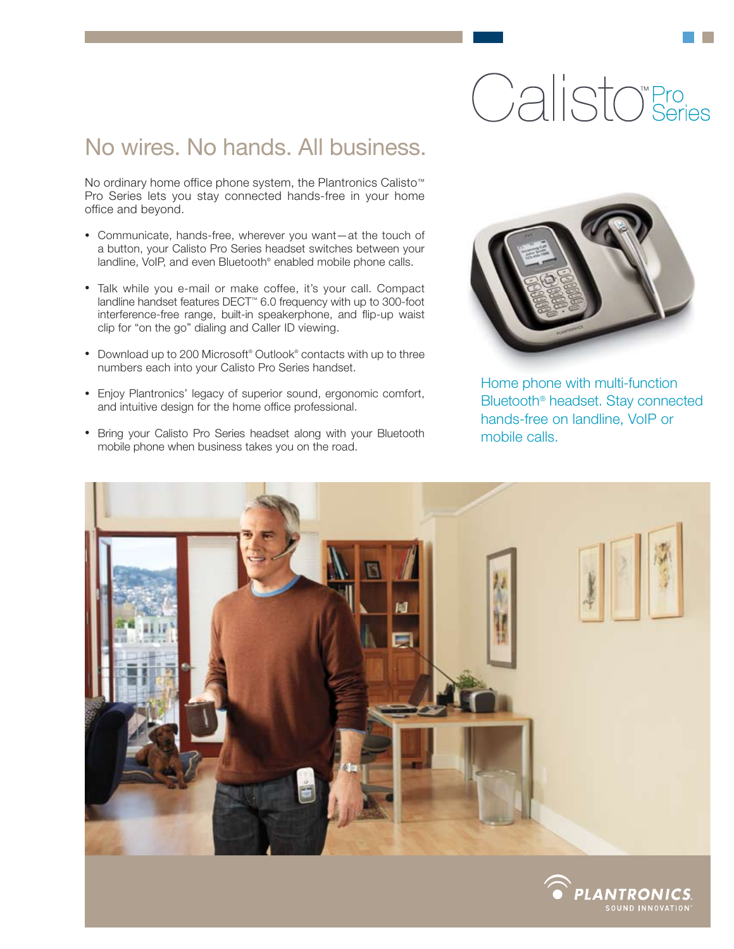# Calisto<sup>®</sup>Series

## No wires. No hands. All business.

No ordinary home office phone system, the Plantronics Calisto™ Pro Series lets you stay connected hands-free in your home office and beyond.

- Communicate, hands-free, wherever you want—at the touch of a button, your Calisto Pro Series headset switches between your landline, VoIP, and even Bluetooth® enabled mobile phone calls.
- Talk while you e-mail or make coffee, it's your call. Compact landline handset features DECT™ 6.0 frequency with up to 300-foot interference-free range, built-in speakerphone, and flip-up waist clip for "on the go" dialing and Caller ID viewing.
- Download up to 200 Microsoft® Outlook® contacts with up to three numbers each into your Calisto Pro Series handset.
- Enjoy Plantronics' legacy of superior sound, ergonomic comfort, and intuitive design for the home office professional.
- Bring your Calisto Pro Series headset along with your Bluetooth mobile phone when business takes you on the road.



Home phone with multi-function Bluetooth® headset. Stay connected hands-free on landline, VoIP or mobile calls.